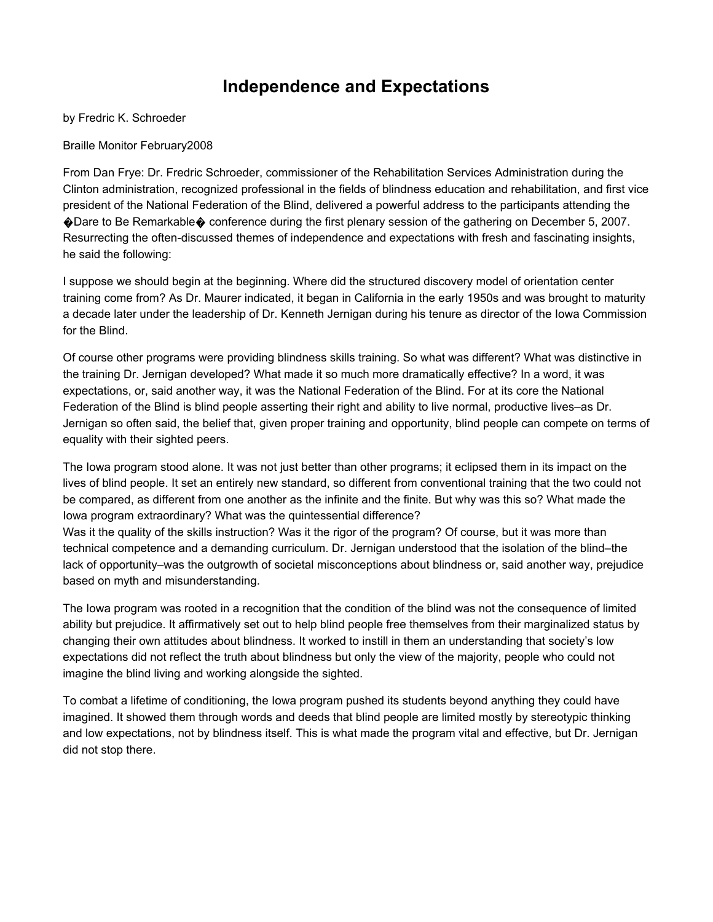## Independence and Expectations

by Fredric K. Schroeder

## Braille Monitor February2008

From Dan Frye: Dr. Fredric Schroeder, commissioner of the Rehabilitation Services Administration during the Clinton administration, recognized professional in the fields of blindness education and rehabilitation, and first vice president of the National Federation of the Blind, delivered a powerful address to the participants attending the �Dare to Be Remarkable� conference during the first plenary session of the gathering on December 5, 2007. Resurrecting the often-discussed themes of independence and expectations with fresh and fascinating insights, he said the following:

I suppose we should begin at the beginning. Where did the structured discovery model of orientation center training come from? As Dr. Maurer indicated, it began in California in the early 1950s and was brought to maturity a decade later under the leadership of Dr. Kenneth Jernigan during his tenure as director of the Iowa Commission for the Blind.

Of course other programs were providing blindness skills training. So what was different? What was distinctive in the training Dr. Jernigan developed? What made it so much more dramatically effective? In a word, it was expectations, or, said another way, it was the National Federation of the Blind. For at its core the National Federation of the Blind is blind people asserting their right and ability to live normal, productive lives–as Dr. Jernigan so often said, the belief that, given proper training and opportunity, blind people can compete on terms of equality with their sighted peers.

The Iowa program stood alone. It was not just better than other programs; it eclipsed them in its impact on the lives of blind people. It set an entirely new standard, so different from conventional training that the two could not be compared, as different from one another as the infinite and the finite. But why was this so? What made the Iowa program extraordinary? What was the quintessential difference?

Was it the quality of the skills instruction? Was it the rigor of the program? Of course, but it was more than technical competence and a demanding curriculum. Dr. Jernigan understood that the isolation of the blind–the lack of opportunity–was the outgrowth of societal misconceptions about blindness or, said another way, prejudice based on myth and misunderstanding.

The Iowa program was rooted in a recognition that the condition of the blind was not the consequence of limited ability but prejudice. It affirmatively set out to help blind people free themselves from their marginalized status by changing their own attitudes about blindness. It worked to instill in them an understanding that society's low expectations did not reflect the truth about blindness but only the view of the majority, people who could not imagine the blind living and working alongside the sighted.

To combat a lifetime of conditioning, the Iowa program pushed its students beyond anything they could have imagined. It showed them through words and deeds that blind people are limited mostly by stereotypic thinking and low expectations, not by blindness itself. This is what made the program vital and effective, but Dr. Jernigan did not stop there.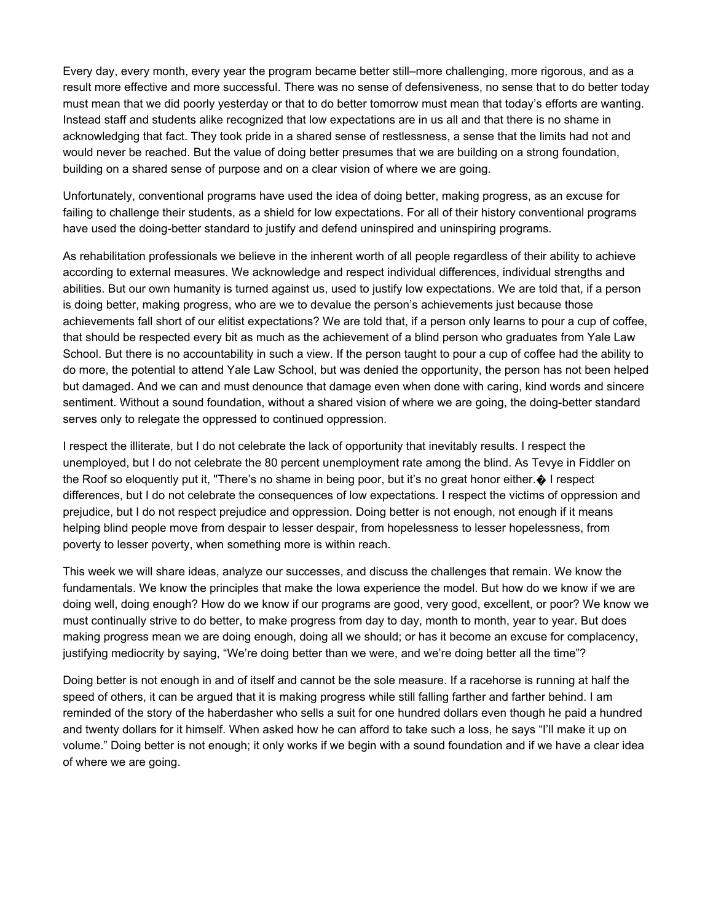Every day, every month, every year the program became better still–more challenging, more rigorous, and as a result more effective and more successful. There was no sense of defensiveness, no sense that to do better today must mean that we did poorly yesterday or that to do better tomorrow must mean that today's efforts are wanting. Instead staff and students alike recognized that low expectations are in us all and that there is no shame in acknowledging that fact. They took pride in a shared sense of restlessness, a sense that the limits had not and would never be reached. But the value of doing better presumes that we are building on a strong foundation, building on a shared sense of purpose and on a clear vision of where we are going.

Unfortunately, conventional programs have used the idea of doing better, making progress, as an excuse for failing to challenge their students, as a shield for low expectations. For all of their history conventional programs have used the doing-better standard to justify and defend uninspired and uninspiring programs.

As rehabilitation professionals we believe in the inherent worth of all people regardless of their ability to achieve according to external measures. We acknowledge and respect individual differences, individual strengths and abilities. But our own humanity is turned against us, used to justify low expectations. We are told that, if a person is doing better, making progress, who are we to devalue the person's achievements just because those achievements fall short of our elitist expectations? We are told that, if a person only learns to pour a cup of coffee, that should be respected every bit as much as the achievement of a blind person who graduates from Yale Law School. But there is no accountability in such a view. If the person taught to pour a cup of coffee had the ability to do more, the potential to attend Yale Law School, but was denied the opportunity, the person has not been helped but damaged. And we can and must denounce that damage even when done with caring, kind words and sincere sentiment. Without a sound foundation, without a shared vision of where we are going, the doing-better standard serves only to relegate the oppressed to continued oppression.

I respect the illiterate, but I do not celebrate the lack of opportunity that inevitably results. I respect the unemployed, but I do not celebrate the 80 percent unemployment rate among the blind. As Tevye in Fiddler on the Roof so eloquently put it, "There's no shame in being poor, but it's no great honor either. $\odot$  I respect differences, but I do not celebrate the consequences of low expectations. I respect the victims of oppression and prejudice, but I do not respect prejudice and oppression. Doing better is not enough, not enough if it means helping blind people move from despair to lesser despair, from hopelessness to lesser hopelessness, from poverty to lesser poverty, when something more is within reach.

This week we will share ideas, analyze our successes, and discuss the challenges that remain. We know the fundamentals. We know the principles that make the Iowa experience the model. But how do we know if we are doing well, doing enough? How do we know if our programs are good, very good, excellent, or poor? We know we must continually strive to do better, to make progress from day to day, month to month, year to year. But does making progress mean we are doing enough, doing all we should; or has it become an excuse for complacency, justifying mediocrity by saying, "We're doing better than we were, and we're doing better all the time"?

Doing better is not enough in and of itself and cannot be the sole measure. If a racehorse is running at half the speed of others, it can be argued that it is making progress while still falling farther and farther behind. I am reminded of the story of the haberdasher who sells a suit for one hundred dollars even though he paid a hundred and twenty dollars for it himself. When asked how he can afford to take such a loss, he says "I'll make it up on volume." Doing better is not enough; it only works if we begin with a sound foundation and if we have a clear idea of where we are going.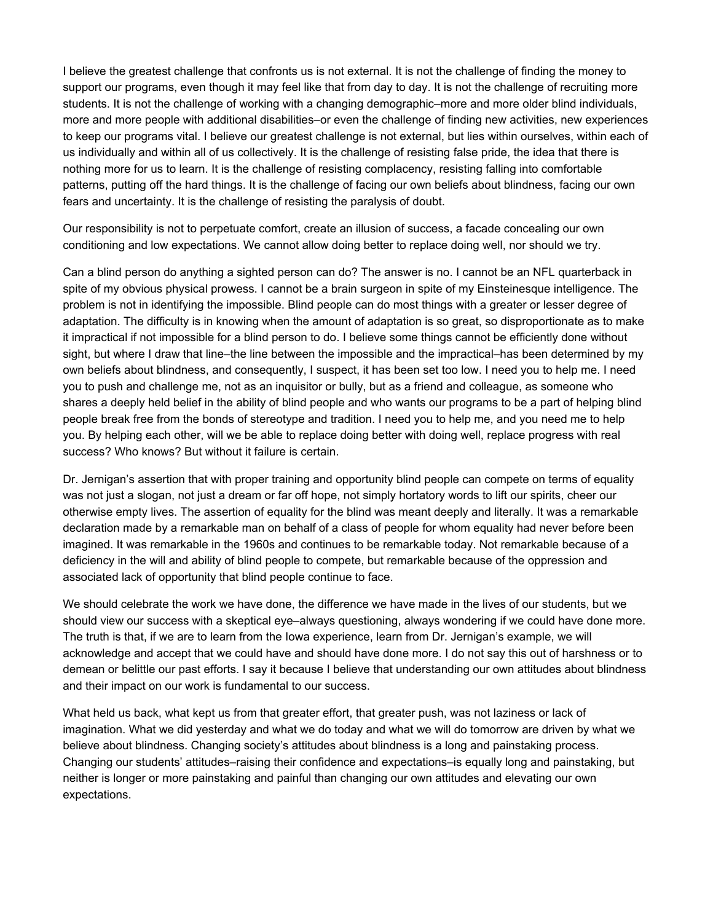I believe the greatest challenge that confronts us is not external. It is not the challenge of finding the money to support our programs, even though it may feel like that from day to day. It is not the challenge of recruiting more students. It is not the challenge of working with a changing demographic–more and more older blind individuals, more and more people with additional disabilities–or even the challenge of finding new activities, new experiences to keep our programs vital. I believe our greatest challenge is not external, but lies within ourselves, within each of us individually and within all of us collectively. It is the challenge of resisting false pride, the idea that there is nothing more for us to learn. It is the challenge of resisting complacency, resisting falling into comfortable patterns, putting off the hard things. It is the challenge of facing our own beliefs about blindness, facing our own fears and uncertainty. It is the challenge of resisting the paralysis of doubt.

Our responsibility is not to perpetuate comfort, create an illusion of success, a facade concealing our own conditioning and low expectations. We cannot allow doing better to replace doing well, nor should we try.

Can a blind person do anything a sighted person can do? The answer is no. I cannot be an NFL quarterback in spite of my obvious physical prowess. I cannot be a brain surgeon in spite of my Einsteinesque intelligence. The problem is not in identifying the impossible. Blind people can do most things with a greater or lesser degree of adaptation. The difficulty is in knowing when the amount of adaptation is so great, so disproportionate as to make it impractical if not impossible for a blind person to do. I believe some things cannot be efficiently done without sight, but where I draw that line–the line between the impossible and the impractical–has been determined by my own beliefs about blindness, and consequently, I suspect, it has been set too low. I need you to help me. I need you to push and challenge me, not as an inquisitor or bully, but as a friend and colleague, as someone who shares a deeply held belief in the ability of blind people and who wants our programs to be a part of helping blind people break free from the bonds of stereotype and tradition. I need you to help me, and you need me to help you. By helping each other, will we be able to replace doing better with doing well, replace progress with real success? Who knows? But without it failure is certain.

Dr. Jernigan's assertion that with proper training and opportunity blind people can compete on terms of equality was not just a slogan, not just a dream or far off hope, not simply hortatory words to lift our spirits, cheer our otherwise empty lives. The assertion of equality for the blind was meant deeply and literally. It was a remarkable declaration made by a remarkable man on behalf of a class of people for whom equality had never before been imagined. It was remarkable in the 1960s and continues to be remarkable today. Not remarkable because of a deficiency in the will and ability of blind people to compete, but remarkable because of the oppression and associated lack of opportunity that blind people continue to face.

We should celebrate the work we have done, the difference we have made in the lives of our students, but we should view our success with a skeptical eye–always questioning, always wondering if we could have done more. The truth is that, if we are to learn from the Iowa experience, learn from Dr. Jernigan's example, we will acknowledge and accept that we could have and should have done more. I do not say this out of harshness or to demean or belittle our past efforts. I say it because I believe that understanding our own attitudes about blindness and their impact on our work is fundamental to our success.

What held us back, what kept us from that greater effort, that greater push, was not laziness or lack of imagination. What we did yesterday and what we do today and what we will do tomorrow are driven by what we believe about blindness. Changing society's attitudes about blindness is a long and painstaking process. Changing our students' attitudes–raising their confidence and expectations–is equally long and painstaking, but neither is longer or more painstaking and painful than changing our own attitudes and elevating our own expectations.